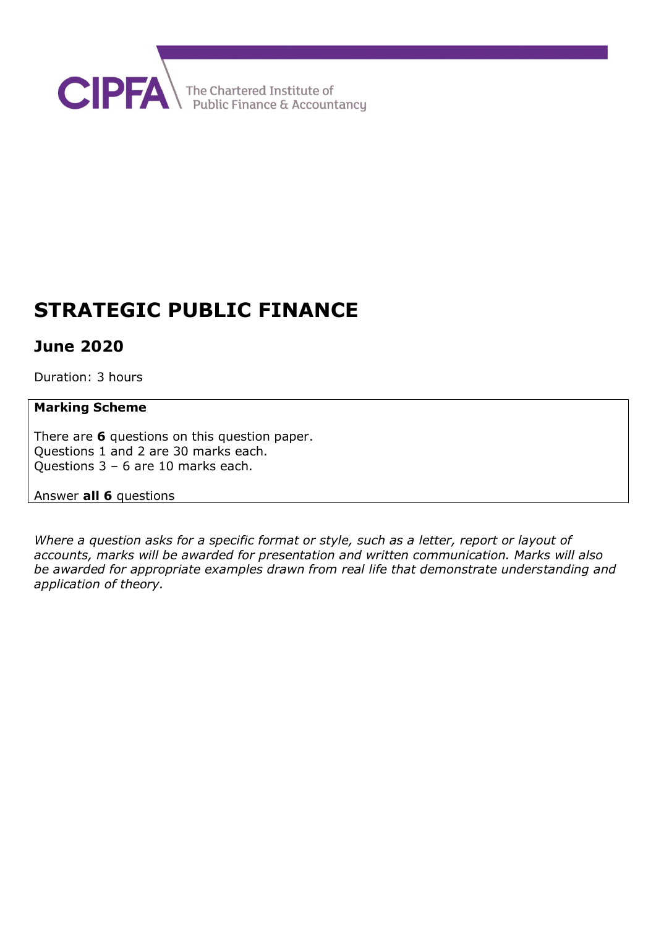

# **STRATEGIC PUBLIC FINANCE**

# **June 2020**

Duration: 3 hours

# **Marking Scheme**

There are **6** questions on this question paper. Questions 1 and 2 are 30 marks each. Questions 3 – 6 are 10 marks each.

## Answer **all 6** questions

*Where a question asks for a specific format or style, such as a letter, report or layout of accounts, marks will be awarded for presentation and written communication. Marks will also be awarded for appropriate examples drawn from real life that demonstrate understanding and application of theory.*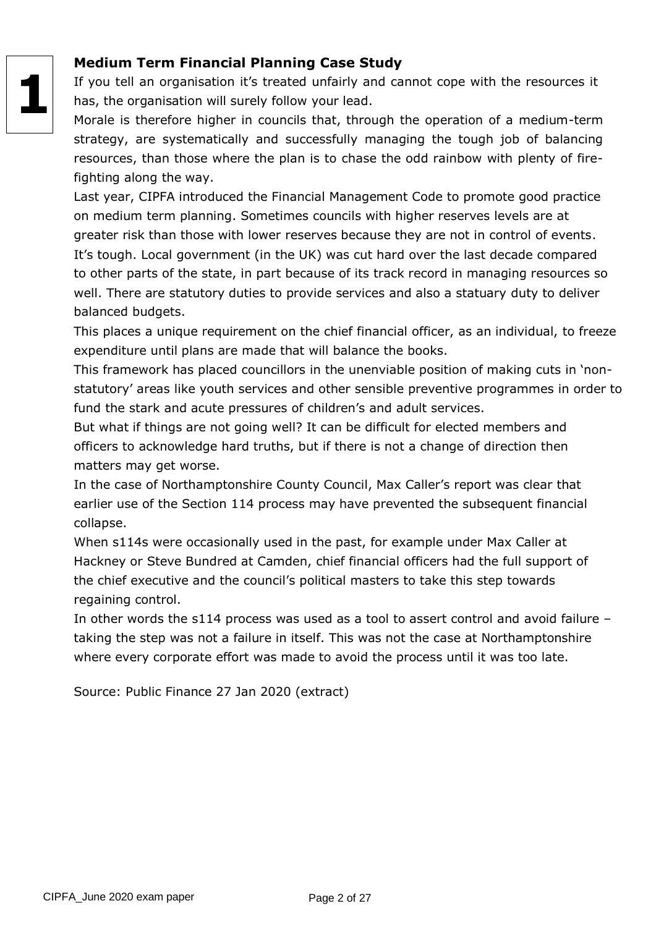# **1**

# **Medium Term Financial Planning Case Study**

If you tell an organisation it's treated unfairly and cannot cope with the resources it has, the organisation will surely follow your lead.

Morale is therefore higher in councils that, through the operation of a medium-term strategy, are systematically and successfully managing the tough job of balancing resources, than those where the plan is to chase the odd rainbow with plenty of firefighting along the way.

Last year, CIPFA introduced the Financial Management Code to promote good practice on medium term planning. Sometimes councils with higher reserves levels are at greater risk than those with lower reserves because they are not in control of events. It's tough. Local government (in the UK) was cut hard over the last decade compared to other parts of the state, in part because of its track record in managing resources so well. There are statutory duties to provide services and also a statuary duty to deliver balanced budgets.

This places a unique requirement on the chief financial officer, as an individual, to freeze expenditure until plans are made that will balance the books.

This framework has placed councillors in the unenviable position of making cuts in 'nonstatutory' areas like youth services and other sensible preventive programmes in order to fund the stark and acute pressures of children's and adult services.

But what if things are not going well? It can be difficult for elected members and officers to acknowledge hard truths, but if there is not a change of direction then matters may get worse.

In the case of Northamptonshire County Council, Max Caller's report was clear that earlier use of the Section 114 process may have prevented the subsequent financial collapse.

When s114s were occasionally used in the past, for example under Max Caller at Hackney or Steve Bundred at Camden, chief financial officers had the full support of the chief executive and the council's political masters to take this step towards regaining control.

In other words the s114 process was used as a tool to assert control and avoid failure – taking the step was not a failure in itself. This was not the case at Northamptonshire where every corporate effort was made to avoid the process until it was too late.

Source: Public Finance 27 Jan 2020 (extract)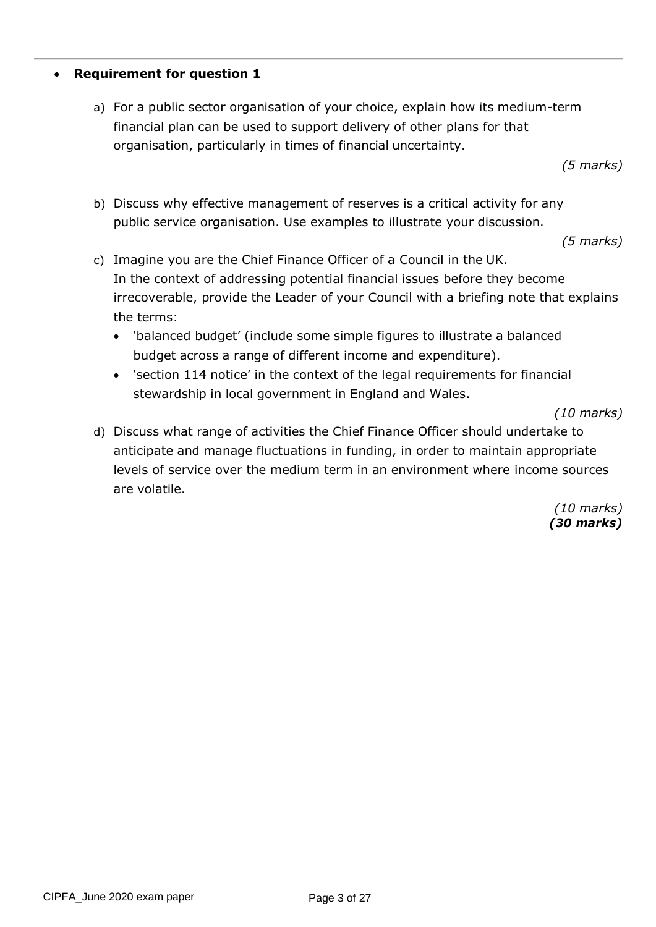#### • **Requirement for question 1**

a) For a public sector organisation of your choice, explain how its medium-term financial plan can be used to support delivery of other plans for that organisation, particularly in times of financial uncertainty.

*(5 marks)*

b) Discuss why effective management of reserves is a critical activity for any public service organisation. Use examples to illustrate your discussion.

*(5 marks)*

- c) Imagine you are the Chief Finance Officer of a Council in the UK. In the context of addressing potential financial issues before they become irrecoverable, provide the Leader of your Council with a briefing note that explains the terms:
	- 'balanced budget' (include some simple figures to illustrate a balanced budget across a range of different income and expenditure).
	- 'section 114 notice' in the context of the legal requirements for financial stewardship in local government in England and Wales.

*(10 marks)*

d) Discuss what range of activities the Chief Finance Officer should undertake to anticipate and manage fluctuations in funding, in order to maintain appropriate levels of service over the medium term in an environment where income sources are volatile.

> *(10 marks) (30 marks)*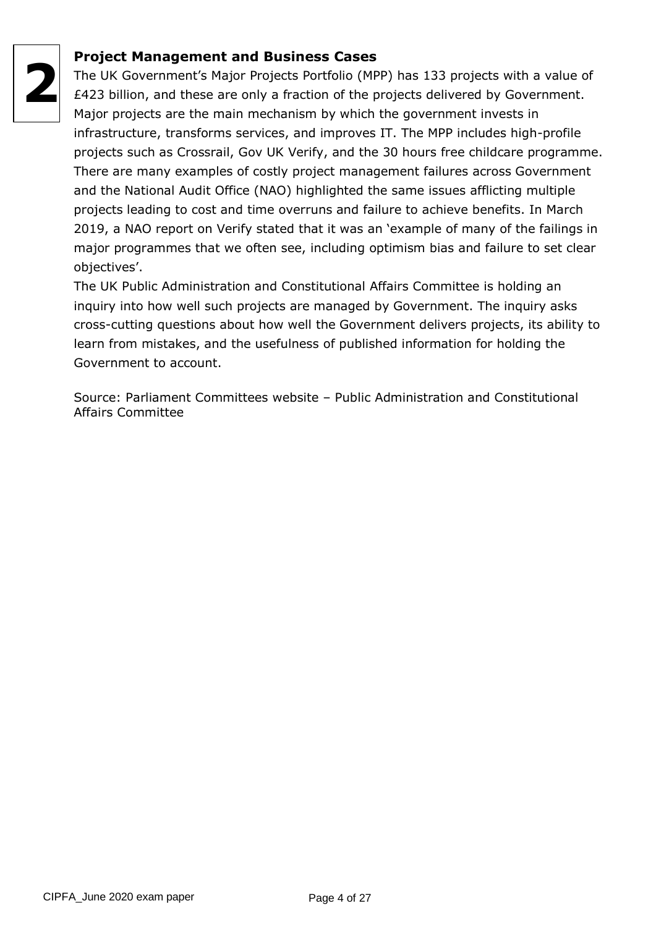

# **Project Management and Business Cases**

The UK Government's Major Projects Portfolio (MPP) has 133 projects with a value of £423 billion, and these are only a fraction of the projects delivered by Government. Major projects are the main mechanism by which the government invests in infrastructure, transforms services, and improves IT. The MPP includes high-profile projects such as Crossrail, Gov UK Verify, and the 30 hours free childcare programme. There are many examples of costly project management failures across Government and the National Audit Office (NAO) highlighted the same issues afflicting multiple projects leading to cost and time overruns and failure to achieve benefits. In March 2019, a NAO report on Verify stated that it was an 'example of many of the failings in major programmes that we often see, including optimism bias and failure to set clear objectives'.

The UK Public Administration and Constitutional Affairs Committee is holding an inquiry into how well such projects are managed by Government. The inquiry asks cross-cutting questions about how well the Government delivers projects, its ability to learn from mistakes, and the usefulness of published information for holding the Government to account.

Source: Parliament Committees website – Public Administration and Constitutional Affairs Committee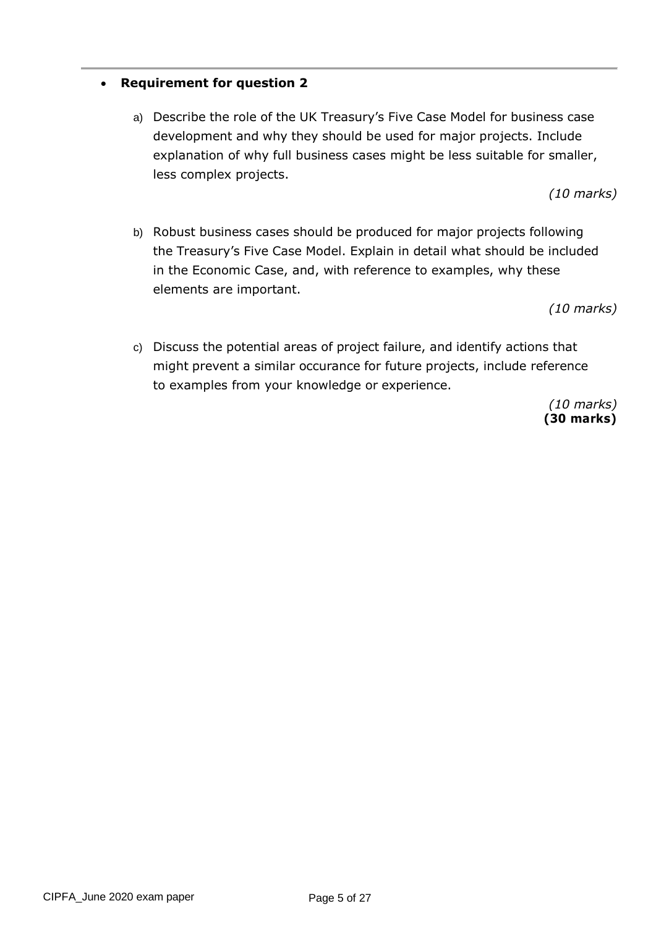## • **Requirement for question 2**

a) Describe the role of the UK Treasury's Five Case Model for business case development and why they should be used for major projects. Include explanation of why full business cases might be less suitable for smaller, less complex projects.

*(10 marks)*

b) Robust business cases should be produced for major projects following the Treasury's Five Case Model. Explain in detail what should be included in the Economic Case, and, with reference to examples, why these elements are important.

*(10 marks)*

c) Discuss the potential areas of project failure, and identify actions that might prevent a similar occurance for future projects, include reference to examples from your knowledge or experience.

> *(10 marks)* **(30 marks)**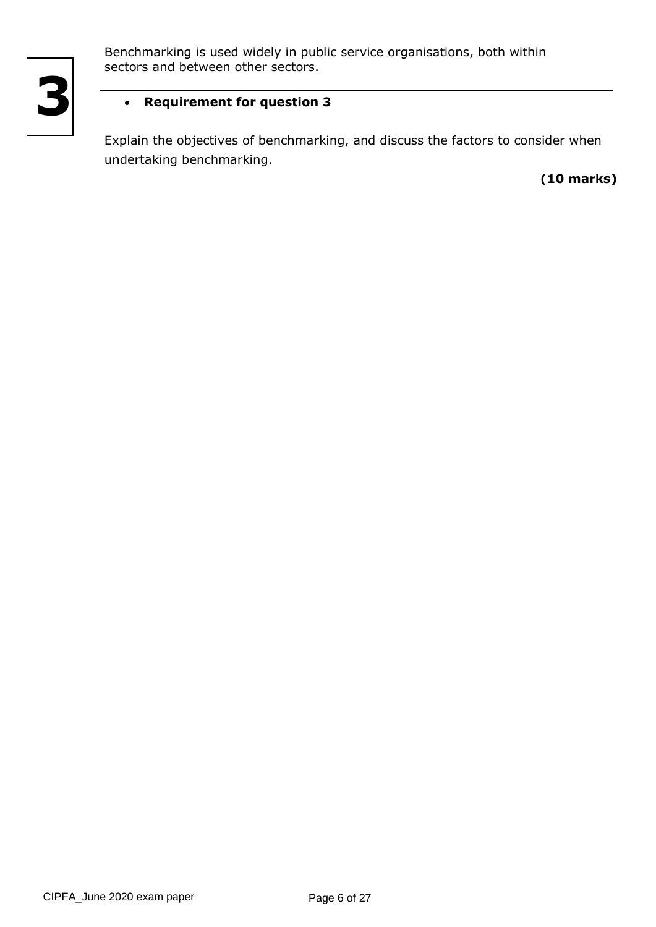

Benchmarking is used widely in public service organisations, both within sectors and between other sectors.

# • **Requirement for question 3**

Explain the objectives of benchmarking, and discuss the factors to consider when undertaking benchmarking.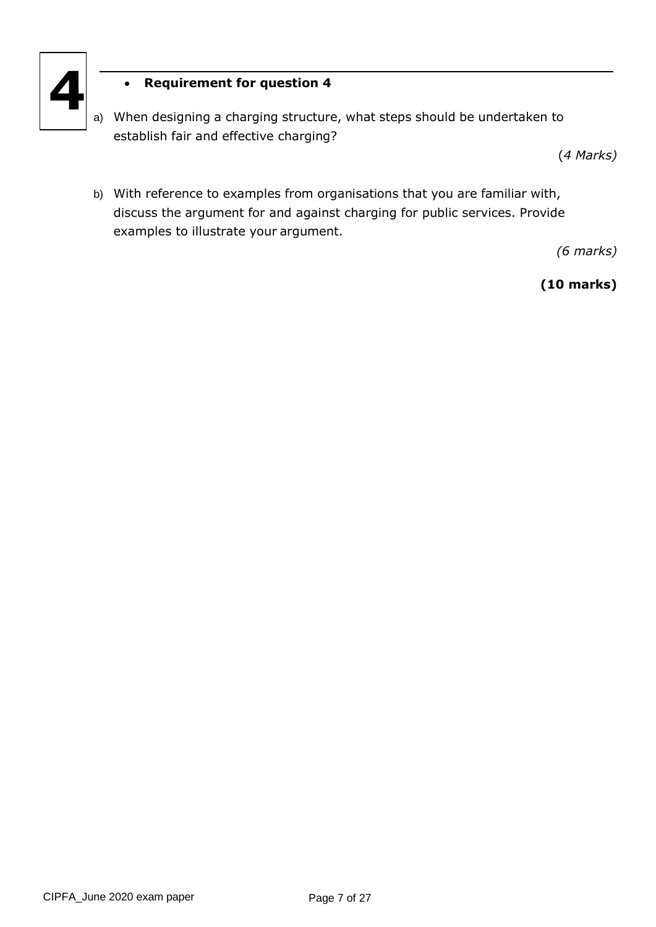

# • **Requirement for question 4**

a) When designing a charging structure, what steps should be undertaken to establish fair and effective charging?

(*4 Marks)*

b) With reference to examples from organisations that you are familiar with, discuss the argument for and against charging for public services. Provide examples to illustrate your argument.

*(6 marks)*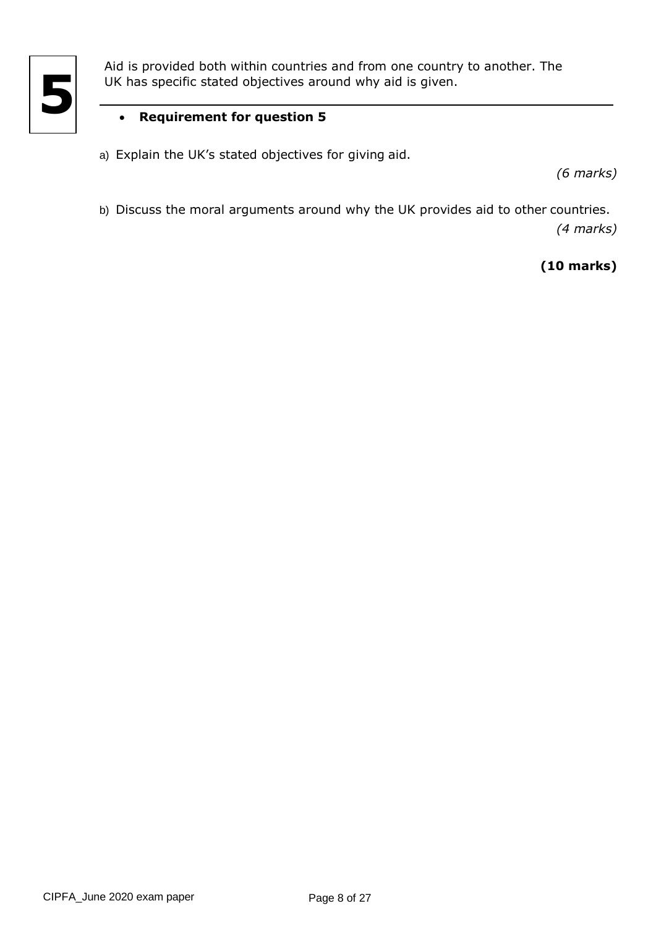

Aid is provided both within countries and from one country to another. The UK has specific stated objectives around why aid is given.

# • **Requirement for question 5**

a) Explain the UK's stated objectives for giving aid.

*(6 marks)*

b) Discuss the moral arguments around why the UK provides aid to other countries. *(4 marks)*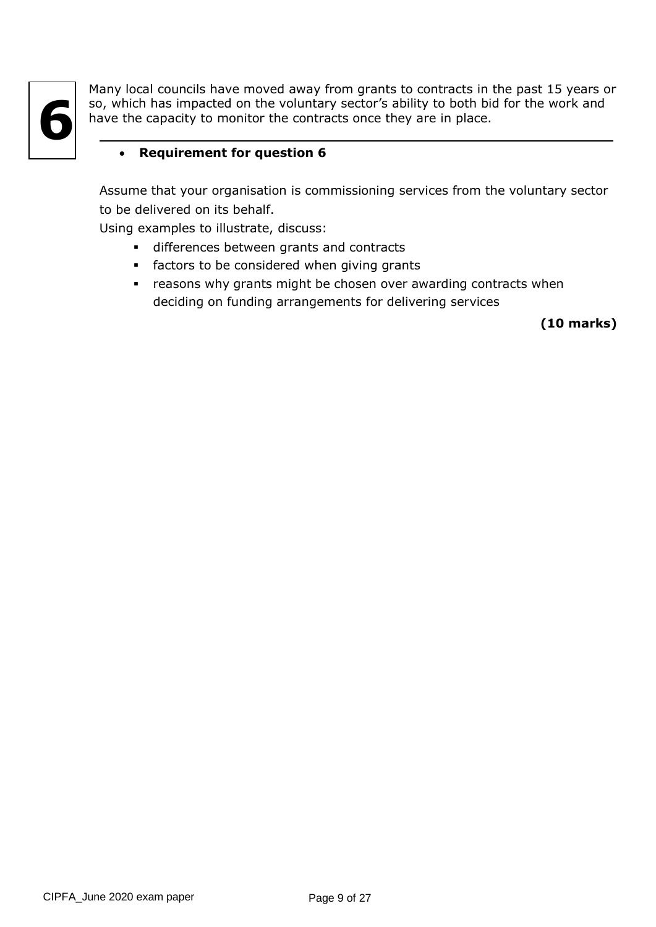

Many local councils have moved away from grants to contracts in the past 15 years or so, which has impacted on the voluntary sector's ability to both bid for the work and have the capacity to monitor the contracts once they are in place.

# • **Requirement for question 6**

Assume that your organisation is commissioning services from the voluntary sector to be delivered on its behalf.

Using examples to illustrate, discuss:

- differences between grants and contracts
- **•** factors to be considered when giving grants
- **•** reasons why grants might be chosen over awarding contracts when deciding on funding arrangements for delivering services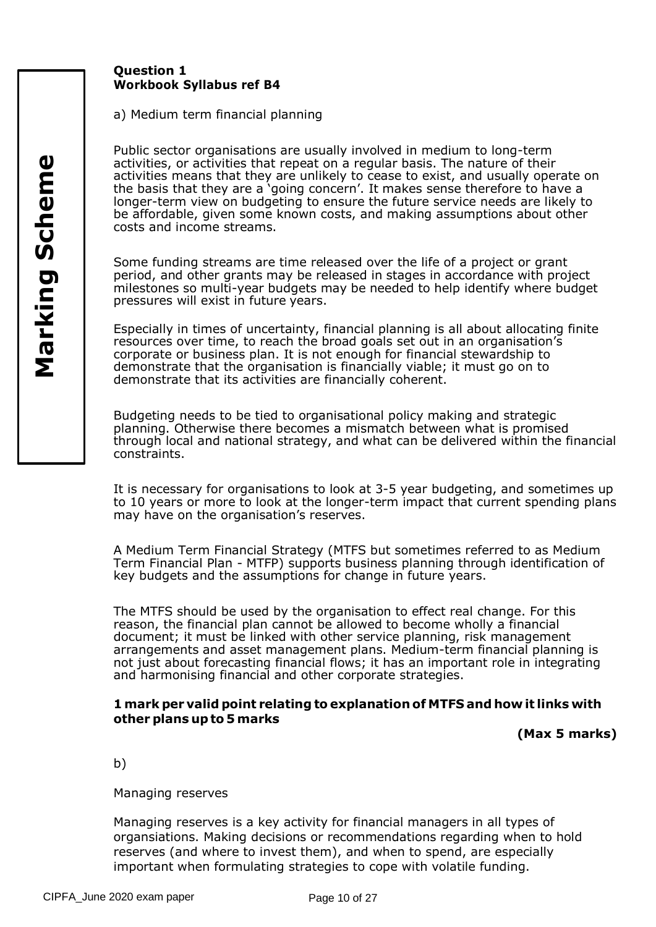# **Question 1 Workbook Syllabus ref B4**

a) Medium term financial planning

Public sector organisations are usually involved in medium to long-term activities, or activities that repeat on a regular basis. The nature of their activities means that they are unlikely to cease to exist, and usually operate on the basis that they are a 'going concern'. It makes sense therefore to have a longer-term view on budgeting to ensure the future service needs are likely to be affordable, given some known costs, and making assumptions about other costs and income streams.

Some funding streams are time released over the life of a project or grant period, and other grants may be released in stages in accordance with project milestones so multi-year budgets may be needed to help identify where budget pressures will exist in future years.

Especially in times of uncertainty, financial planning is all about allocating finite resources over time, to reach the broad goals set out in an organisation's corporate or business plan. It is not enough for financial stewardship to demonstrate that the organisation is financially viable; it must go on to demonstrate that its activities are financially coherent.

Budgeting needs to be tied to organisational policy making and strategic planning. Otherwise there becomes a mismatch between what is promised through local and national strategy, and what can be delivered within the financial constraints.

It is necessary for organisations to look at 3-5 year budgeting, and sometimes up to 10 years or more to look at the longer-term impact that current spending plans may have on the organisation's reserves.

A Medium Term Financial Strategy (MTFS but sometimes referred to as Medium Term Financial Plan - MTFP) supports business planning through identification of key budgets and the assumptions for change in future years.

The MTFS should be used by the organisation to effect real change. For this reason, the financial plan cannot be allowed to become wholly a financial document; it must be linked with other service planning, risk management arrangements and asset management plans. Medium-term financial planning is not just about forecasting financial flows; it has an important role in integrating and harmonising financial and other corporate strategies.

#### **1 mark per valid point relating to explanation of MTFS and how it links with other plans upto 5 marks**

**(Max 5 marks)**

b)

Managing reserves

Managing reserves is a key activity for financial managers in all types of organsiations. Making decisions or recommendations regarding when to hold reserves (and where to invest them), and when to spend, are especially important when formulating strategies to cope with volatile funding.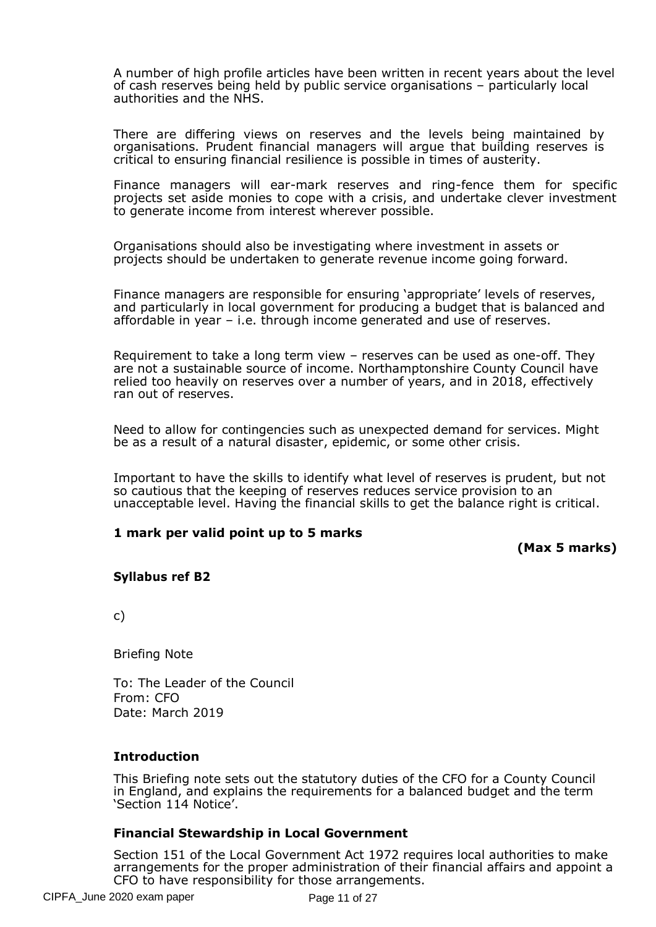A number of high profile articles have been written in recent years about the level of cash reserves being held by public service organisations – particularly local authorities and the NHS.

There are differing views on reserves and the levels being maintained by organisations. Prudent financial managers will argue that building reserves is critical to ensuring financial resilience is possible in times of austerity.

Finance managers will ear-mark reserves and ring-fence them for specific projects set aside monies to cope with a crisis, and undertake clever investment to generate income from interest wherever possible.

Organisations should also be investigating where investment in assets or projects should be undertaken to generate revenue income going forward.

Finance managers are responsible for ensuring 'appropriate' levels of reserves, and particularly in local government for producing a budget that is balanced and affordable in year – i.e. through income generated and use of reserves.

Requirement to take a long term view – reserves can be used as one-off. They are not a sustainable source of income. Northamptonshire County Council have relied too heavily on reserves over a number of years, and in 2018, effectively ran out of reserves.

Need to allow for contingencies such as unexpected demand for services. Might be as a result of a natural disaster, epidemic, or some other crisis.

Important to have the skills to identify what level of reserves is prudent, but not so cautious that the keeping of reserves reduces service provision to an unacceptable level. Having the financial skills to get the balance right is critical.

#### **1 mark per valid point up to 5 marks**

**(Max 5 marks)**

#### **Syllabus ref B2**

c)

Briefing Note

To: The Leader of the Council From: CFO Date: March 2019

#### **Introduction**

This Briefing note sets out the statutory duties of the CFO for a County Council in England, and explains the requirements for a balanced budget and the term 'Section 114 Notice'.

#### **Financial Stewardship in Local Government**

Section 151 of the Local Government Act 1972 requires local authorities to make arrangements for the proper administration of their financial affairs and appoint a CFO to have responsibility for those arrangements.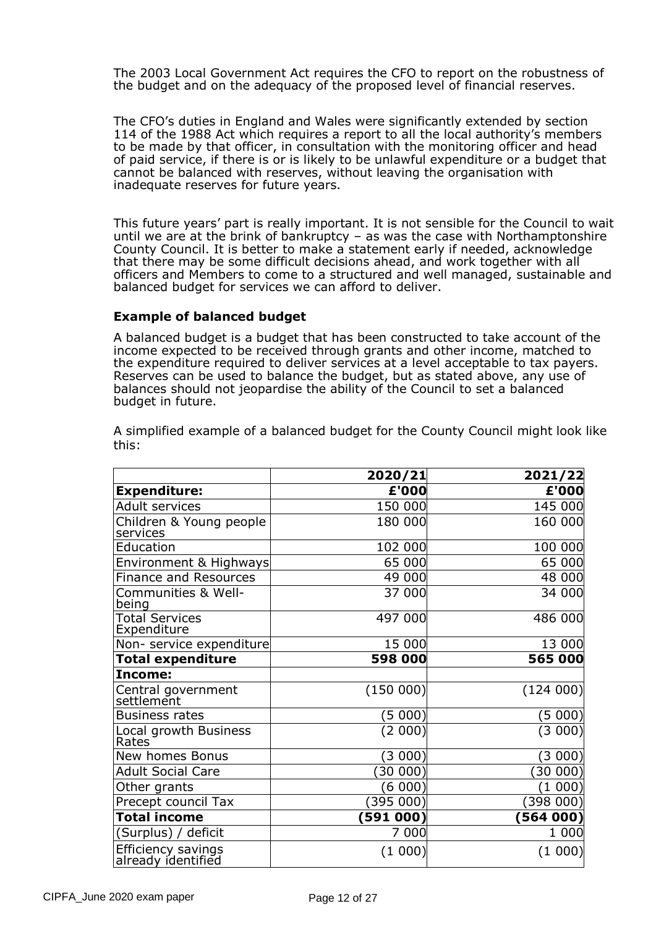The 2003 Local Government Act requires the CFO to report on the robustness of the budget and on the adequacy of the proposed level of financial reserves.

The CFO's duties in England and Wales were significantly extended by section 114 of the 1988 Act which requires a report to all the local authority's members to be made by that officer, in consultation with the monitoring officer and head of paid service, if there is or is likely to be unlawful expenditure or a budget that cannot be balanced with reserves, without leaving the organisation with inadequate reserves for future years.

This future years' part is really important. It is not sensible for the Council to wait until we are at the brink of bankruptcy – as was the case with Northamptonshire County Council. It is better to make a statement early if needed, acknowledge that there may be some difficult decisions ahead, and work together with all officers and Members to come to a structured and well managed, sustainable and balanced budget for services we can afford to deliver.

#### **Example of balanced budget**

A balanced budget is a budget that has been constructed to take account of the income expected to be received through grants and other income, matched to the expenditure required to deliver services at a level acceptable to tax payers. Reserves can be used to balance the budget, but as stated above, any use of balances should not jeopardise the ability of the Council to set a balanced budget in future.

|                                          | 2020/21   | 2021/22     |
|------------------------------------------|-----------|-------------|
| <b>Expenditure:</b>                      | £'000     | £'000       |
| Adult services                           | 150 000   | 145 000     |
| Children & Young people<br>services      | 180 000   | 160 000     |
| Education                                | 102 000   | 100 000     |
| Environment & Highways                   | 65 000    | 65 000      |
| <b>Finance and Resources</b>             | 49 000    | 48 000      |
| Communities & Well-<br>being             | 37 000    | 34 000      |
| <b>Total Services</b><br>Expenditure     | 497 000   | 486 000     |
| Non- service expenditure                 | 15 000    | 13 000      |
| <b>Total expenditure</b>                 | 598 000   | 565 000     |
| Income:                                  |           |             |
| Central government<br>settlement         | (150000)  | (124000)    |
| <b>Business rates</b>                    | (5 000)   | (5 000)     |
| Local growth Business<br>Rates           | (2 000)   | (3000)      |
| New homes Bonus                          | (3000)    | (3000)      |
| <b>Adult Social Care</b>                 | (30000)   | $(30\;000)$ |
| Other grants                             | (6 000)   | $(1\;000)$  |
| Precept council Tax                      | (395000)  | (398000)    |
| <b>Total income</b>                      | (591 000) | (564000)    |
| (Surplus) / deficit                      | 7 000     | 1 000       |
| Efficiency savings<br>already identified | (1 000)   | (1 000)     |

A simplified example of a balanced budget for the County Council might look like this: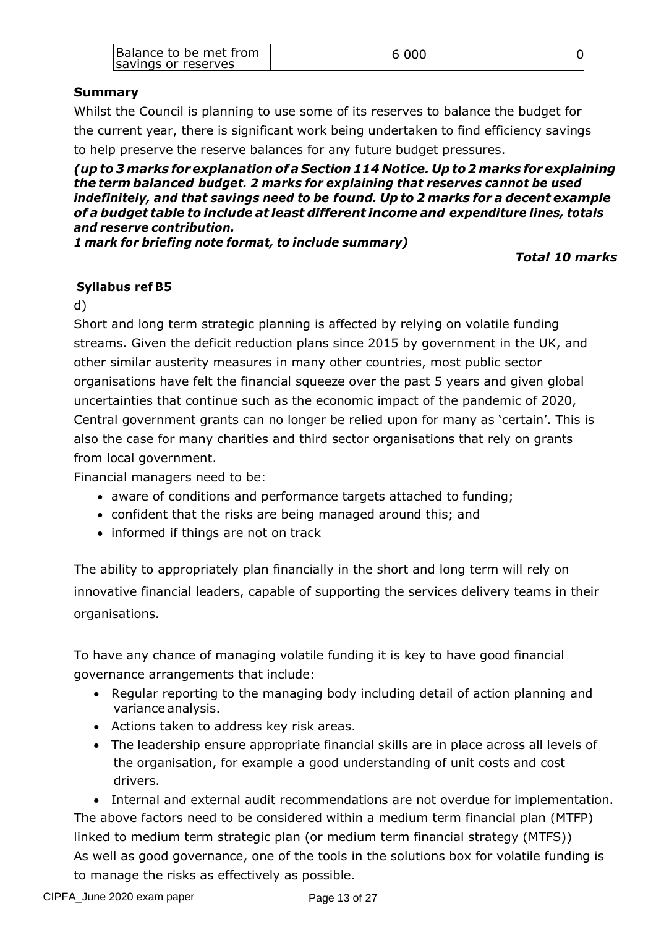| Balance to be met from<br>savings or reserves | 6 0 0 0 |  |
|-----------------------------------------------|---------|--|
|-----------------------------------------------|---------|--|

# **Summary**

Whilst the Council is planning to use some of its reserves to balance the budget for the current year, there is significant work being undertaken to find efficiency savings to help preserve the reserve balances for any future budget pressures.

*(upto 3 marks forexplanation ofa Section 114 Notice. Upto 2 marks for explaining the term balanced budget. 2 marks for explaining that reserves cannot be used indefinitely, and that savings need to be found. Up to 2 marks for a decent example of a budget table to include at least different income and expenditure lines, totals and reserve contribution.*

*1 mark for briefing note format, to include summary)*

*Total 10 marks*

#### **Syllabus ref B5**

d)

Short and long term strategic planning is affected by relying on volatile funding streams. Given the deficit reduction plans since 2015 by government in the UK, and other similar austerity measures in many other countries, most public sector organisations have felt the financial squeeze over the past 5 years and given global uncertainties that continue such as the economic impact of the pandemic of 2020, Central government grants can no longer be relied upon for many as 'certain'. This is also the case for many charities and third sector organisations that rely on grants from local government.

Financial managers need to be:

- aware of conditions and performance targets attached to funding;
- confident that the risks are being managed around this; and
- informed if things are not on track

The ability to appropriately plan financially in the short and long term will rely on innovative financial leaders, capable of supporting the services delivery teams in their organisations.

To have any chance of managing volatile funding it is key to have good financial governance arrangements that include:

- Regular reporting to the managing body including detail of action planning and variance analysis.
- Actions taken to address key risk areas.
- The leadership ensure appropriate financial skills are in place across all levels of the organisation, for example a good understanding of unit costs and cost drivers.

• Internal and external audit recommendations are not overdue for implementation. The above factors need to be considered within a medium term financial plan (MTFP) linked to medium term strategic plan (or medium term financial strategy (MTFS)) As well as good governance, one of the tools in the solutions box for volatile funding is to manage the risks as effectively as possible.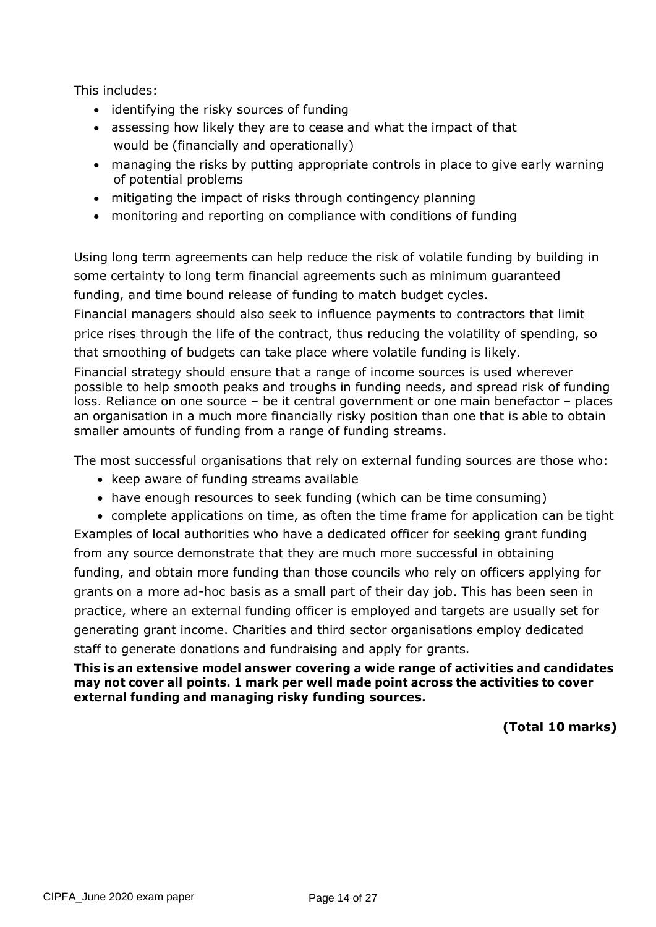This includes:

- identifying the risky sources of funding
- assessing how likely they are to cease and what the impact of that would be (financially and operationally)
- managing the risks by putting appropriate controls in place to give early warning of potential problems
- mitigating the impact of risks through contingency planning
- monitoring and reporting on compliance with conditions of funding

Using long term agreements can help reduce the risk of volatile funding by building in some certainty to long term financial agreements such as minimum guaranteed funding, and time bound release of funding to match budget cycles.

Financial managers should also seek to influence payments to contractors that limit price rises through the life of the contract, thus reducing the volatility of spending, so that smoothing of budgets can take place where volatile funding is likely.

Financial strategy should ensure that a range of income sources is used wherever possible to help smooth peaks and troughs in funding needs, and spread risk of funding loss. Reliance on one source – be it central government or one main benefactor – places an organisation in a much more financially risky position than one that is able to obtain smaller amounts of funding from a range of funding streams.

The most successful organisations that rely on external funding sources are those who:

- keep aware of funding streams available
- have enough resources to seek funding (which can be time consuming)

• complete applications on time, as often the time frame for application can be tight Examples of local authorities who have a dedicated officer for seeking grant funding from any source demonstrate that they are much more successful in obtaining funding, and obtain more funding than those councils who rely on officers applying for grants on a more ad-hoc basis as a small part of their day job. This has been seen in practice, where an external funding officer is employed and targets are usually set for generating grant income. Charities and third sector organisations employ dedicated staff to generate donations and fundraising and apply for grants.

**This is an extensive model answer covering a wide range of activities and candidates may not cover all points. 1 mark per well made point across the activities to cover external funding and managing risky funding sources.** 

**(Total 10 marks)**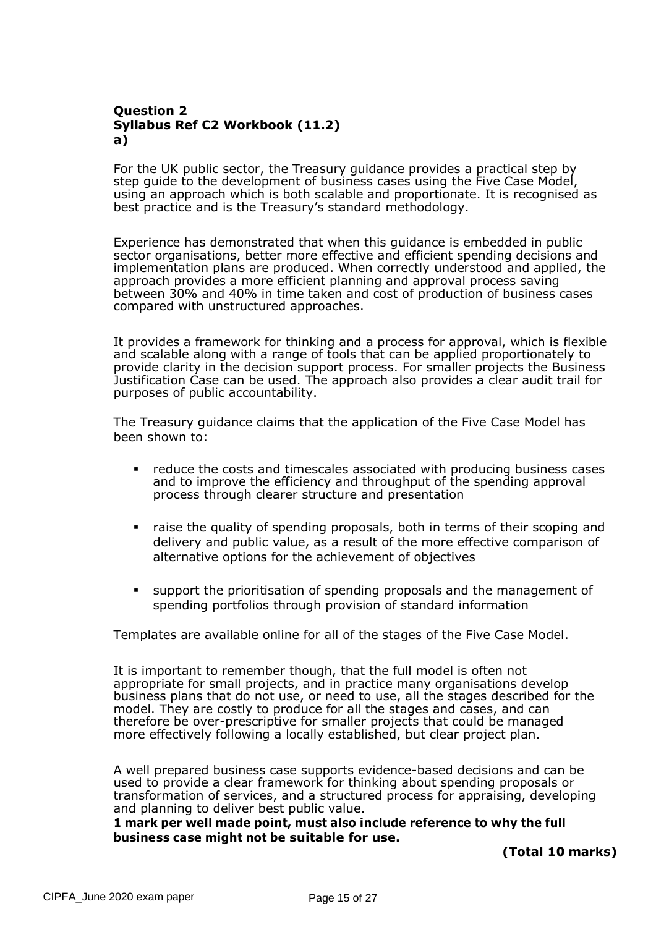# **Question 2 Syllabus Ref C2 Workbook (11.2) a)**

For the UK public sector, the Treasury guidance provides a practical step by step guide to the development of business cases using the Five Case Model, using an approach which is both scalable and proportionate. It is recognised as best practice and is the Treasury's standard methodology.

Experience has demonstrated that when this guidance is embedded in public sector organisations, better more effective and efficient spending decisions and implementation plans are produced. When correctly understood and applied, the approach provides a more efficient planning and approval process saving between 30% and 40% in time taken and cost of production of business cases compared with unstructured approaches.

It provides a framework for thinking and a process for approval, which is flexible and scalable along with a range of tools that can be applied proportionately to provide clarity in the decision support process. For smaller projects the Business Justification Case can be used. The approach also provides a clear audit trail for purposes of public accountability.

The Treasury guidance claims that the application of the Five Case Model has been shown to:

- **•** reduce the costs and timescales associated with producing business cases and to improve the efficiency and throughput of the spending approval process through clearer structure and presentation
- raise the quality of spending proposals, both in terms of their scoping and delivery and public value, as a result of the more effective comparison of alternative options for the achievement of objectives
- support the prioritisation of spending proposals and the management of spending portfolios through provision of standard information

Templates are available online for all of the stages of the Five Case Model.

It is important to remember though, that the full model is often not appropriate for small projects, and in practice many organisations develop business plans that do not use, or need to use, all the stages described for the model. They are costly to produce for all the stages and cases, and can therefore be over-prescriptive for smaller projects that could be managed more effectively following a locally established, but clear project plan.

A well prepared business case supports evidence-based decisions and can be used to provide a clear framework for thinking about spending proposals or transformation of services, and a structured process for appraising, developing and planning to deliver best public value.

**1 mark per well made point, must also include reference to why the full business case might not be suitable for use.** 

**(Total 10 marks)**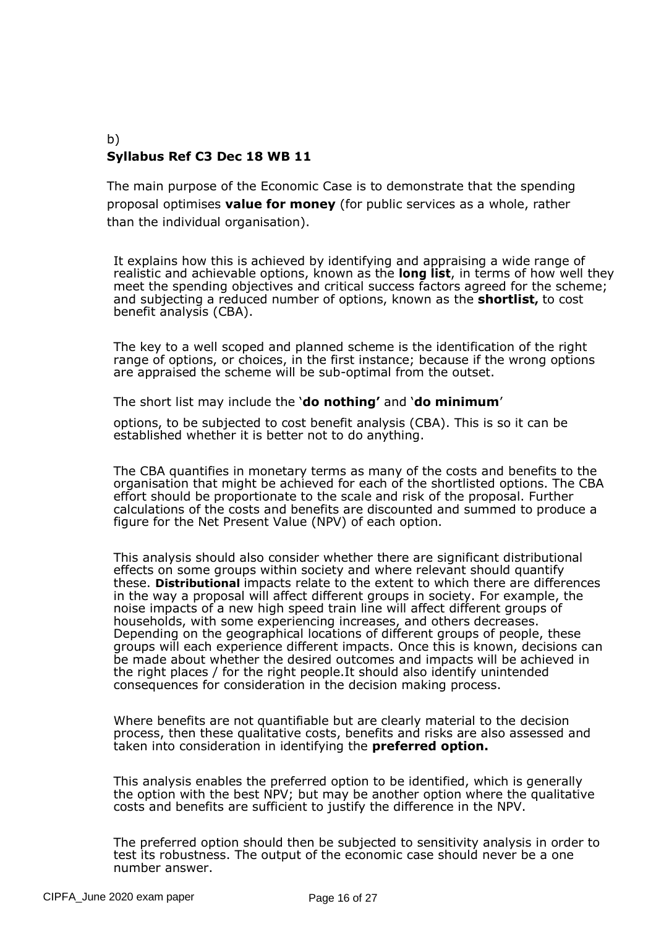#### b) **Syllabus Ref C3 Dec 18 WB 11**

The main purpose of the Economic Case is to demonstrate that the spending proposal optimises **value for money** (for public services as a whole, rather than the individual organisation).

It explains how this is achieved by identifying and appraising a wide range of realistic and achievable options, known as the **long list**, in terms of how well they meet the spending objectives and critical success factors agreed for the scheme; and subjecting a reduced number of options, known as the **shortlist,** to cost benefit analysis (CBA).

The key to a well scoped and planned scheme is the identification of the right range of options, or choices, in the first instance; because if the wrong options are appraised the scheme will be sub-optimal from the outset.

The short list may include the '**do nothing'** and '**do minimum**'

options, to be subjected to cost benefit analysis (CBA). This is so it can be established whether it is better not to do anything.

The CBA quantifies in monetary terms as many of the costs and benefits to the organisation that might be achieved for each of the shortlisted options. The CBA effort should be proportionate to the scale and risk of the proposal. Further calculations of the costs and benefits are discounted and summed to produce a figure for the Net Present Value (NPV) of each option.

This analysis should also consider whether there are significant distributional effects on some groups within society and where relevant should quantify these. **Distributional** impacts relate to the extent to which there are differences in the way a proposal will affect different groups in society. For example, the noise impacts of a new high speed train line will affect different groups of households, with some experiencing increases, and others decreases. Depending on the geographical locations of different groups of people, these groups will each experience different impacts. Once this is known, decisions can be made about whether the desired outcomes and impacts will be achieved in the right places / for the right people.It should also identify unintended consequences for consideration in the decision making process.

Where benefits are not quantifiable but are clearly material to the decision process, then these qualitative costs, benefits and risks are also assessed and taken into consideration in identifying the **preferred option.**

This analysis enables the preferred option to be identified, which is generally the option with the best NPV; but may be another option where the qualitative costs and benefits are sufficient to justify the difference in the NPV.

The preferred option should then be subjected to sensitivity analysis in order to test its robustness. The output of the economic case should never be a one number answer.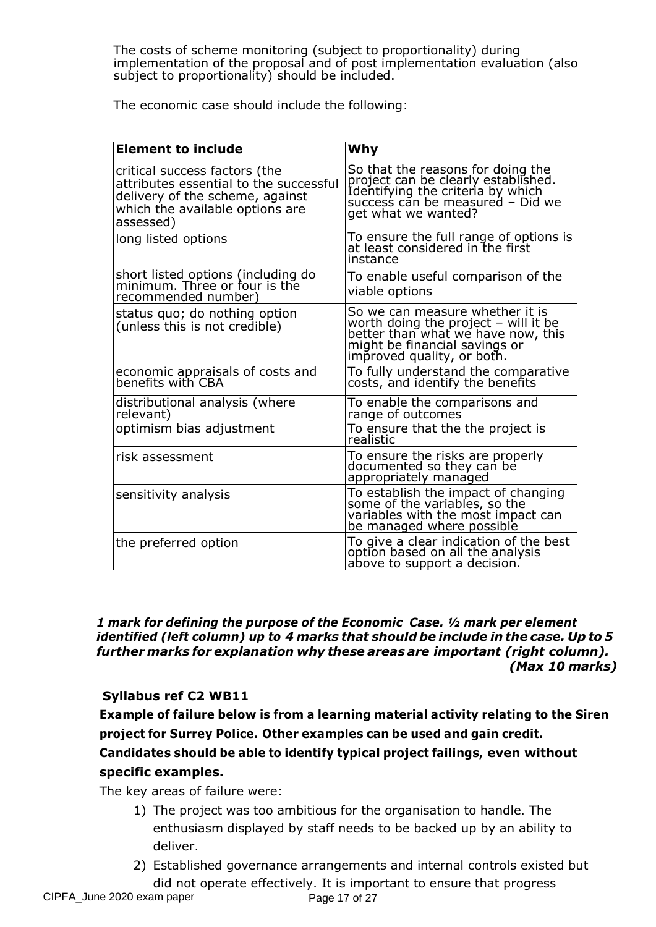The costs of scheme monitoring (subject to proportionality) during implementation of the proposal and of post implementation evaluation (also subject to proportionality) should be included.

The economic case should include the following:

| <b>Element to include</b>                                                                                                                                  | Why                                                                                                                                                                          |
|------------------------------------------------------------------------------------------------------------------------------------------------------------|------------------------------------------------------------------------------------------------------------------------------------------------------------------------------|
| critical success factors (the<br>attributes essential to the successful<br>delivery of the scheme, against<br>which the available options are<br>assessed) | So that the reasons for doing the<br>project can be clearly established.<br>Identifying the criteria by which<br>success can be measured - Did we<br>get what we wanted?     |
| long listed options                                                                                                                                        | To ensure the full range of options is<br>at least considered in the first<br>instance                                                                                       |
| short listed options (including do<br>minimum. Three or four is the<br>recommended number)                                                                 | To enable useful comparison of the<br>viable options                                                                                                                         |
| status quo; do nothing option<br>(unless this is not credible)                                                                                             | So we can measure whether it is<br>worth doing the project - will it be<br>better than what we have now, this<br>might be financial savings or<br>improved quality, or both. |
| economic appraisals of costs and<br>benefits with CBA                                                                                                      | To fully understand the comparative<br>costs, and identify the benefits                                                                                                      |
| distributional analysis (where<br>relevant)                                                                                                                | To enable the comparisons and<br>range of outcomes                                                                                                                           |
| optimism bias adjustment                                                                                                                                   | To ensure that the the project is<br>realistic                                                                                                                               |
| risk assessment                                                                                                                                            | To ensure the risks are properly<br>documented so they can be<br>appropriately managed                                                                                       |
| sensitivity analysis                                                                                                                                       | To establish the impact of changing<br>some of the variables, so the<br>variables with the most impact can<br>be managed where possible                                      |
| the preferred option                                                                                                                                       | To give a clear indication of the best<br>option based on all the analysis<br><u>above to support a decision.</u>                                                            |

*1 mark for defining the purpose of the Economic Case. ½ mark per element identified (left column) up to 4 marks that should be include in the case. Up to 5 further marks for explanation why these areas are important (right column). (Max 10 marks)*

# **Syllabus ref C2 WB11**

**Example of failure below is from a learning material activity relating to the Siren project for Surrey Police. Other examples can be used and gain credit. Candidates should be able to identify typical project failings, even without specific examples.**

The key areas of failure were:

- 1) The project was too ambitious for the organisation to handle. The enthusiasm displayed by staff needs to be backed up by an ability to deliver.
- 2) Established governance arrangements and internal controls existed but did not operate effectively. It is important to ensure that progress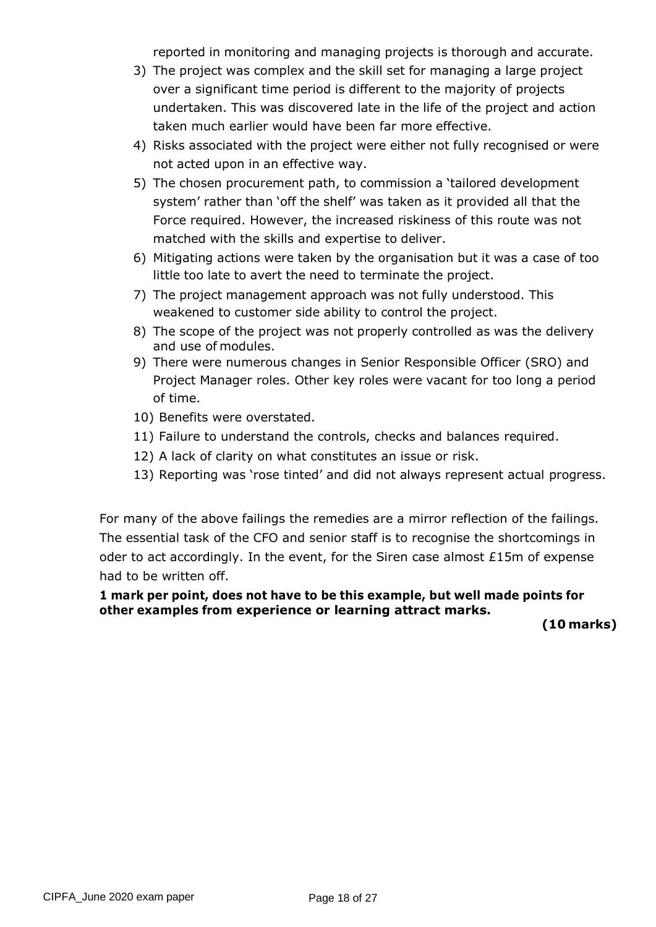reported in monitoring and managing projects is thorough and accurate.

- 3) The project was complex and the skill set for managing a large project over a significant time period is different to the majority of projects undertaken. This was discovered late in the life of the project and action taken much earlier would have been far more effective.
- 4) Risks associated with the project were either not fully recognised or were not acted upon in an effective way.
- 5) The chosen procurement path, to commission a 'tailored development system' rather than 'off the shelf' was taken as it provided all that the Force required. However, the increased riskiness of this route was not matched with the skills and expertise to deliver.
- 6) Mitigating actions were taken by the organisation but it was a case of too little too late to avert the need to terminate the project.
- 7) The project management approach was not fully understood. This weakened to customer side ability to control the project.
- 8) The scope of the project was not properly controlled as was the delivery and use of modules.
- 9) There were numerous changes in Senior Responsible Officer (SRO) and Project Manager roles. Other key roles were vacant for too long a period of time.
- 10) Benefits were overstated.
- 11) Failure to understand the controls, checks and balances required.
- 12) A lack of clarity on what constitutes an issue or risk.
- 13) Reporting was 'rose tinted' and did not always represent actual progress.

For many of the above failings the remedies are a mirror reflection of the failings. The essential task of the CFO and senior staff is to recognise the shortcomings in oder to act accordingly. In the event, for the Siren case almost £15m of expense had to be written off.

# **1 mark per point, does not have to be this example, but well made points for other examples from experience or learning attract marks.**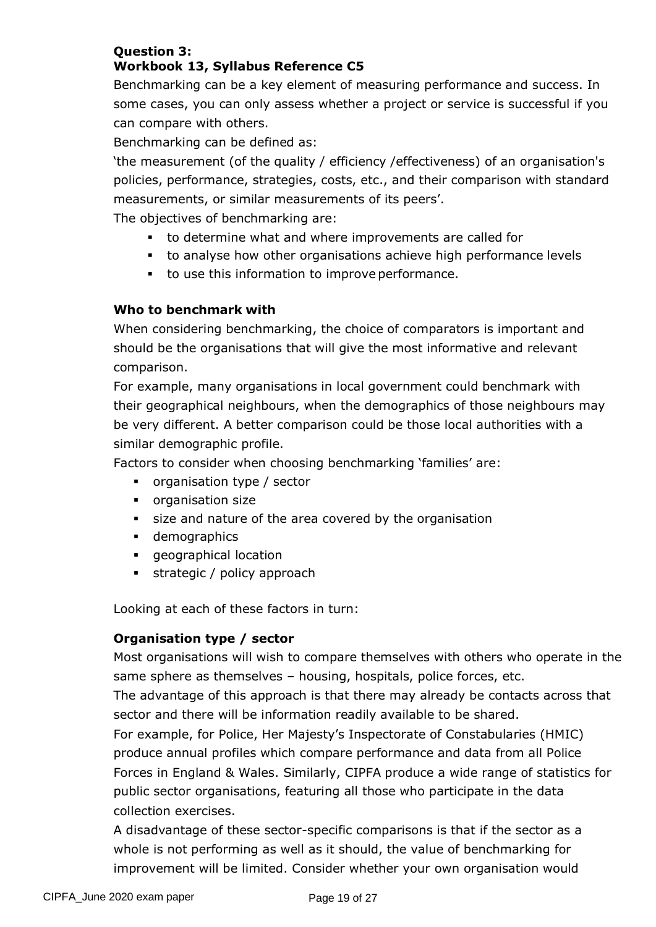# **Question 3: Workbook 13, Syllabus Reference C5**

Benchmarking can be a key element of measuring performance and success. In some cases, you can only assess whether a project or service is successful if you can compare with others.

Benchmarking can be defined as:

'the measurement (of the quality / efficiency /effectiveness) of an organisation's policies, performance, strategies, costs, etc., and their comparison with standard measurements, or similar measurements of its peers'.

The objectives of benchmarking are:

- to determine what and where improvements are called for
- to analyse how other organisations achieve high performance levels
- to use this information to improve performance.

# **Who to benchmark with**

When considering benchmarking, the choice of comparators is important and should be the organisations that will give the most informative and relevant comparison.

For example, many organisations in local government could benchmark with their geographical neighbours, when the demographics of those neighbours may be very different. A better comparison could be those local authorities with a similar demographic profile.

Factors to consider when choosing benchmarking 'families' are:

- organisation type / sector
- organisation size
- size and nature of the area covered by the organisation
- demographics
- geographical location
- **•** strategic / policy approach

Looking at each of these factors in turn:

#### **Organisation type / sector**

Most organisations will wish to compare themselves with others who operate in the same sphere as themselves – housing, hospitals, police forces, etc.

The advantage of this approach is that there may already be contacts across that sector and there will be information readily available to be shared.

For example, for Police, Her Majesty's Inspectorate of Constabularies (HMIC) produce annual profiles which compare performance and data from all Police Forces in England & Wales. Similarly, CIPFA produce a wide range of statistics for public sector organisations, featuring all those who participate in the data collection exercises.

A disadvantage of these sector-specific comparisons is that if the sector as a whole is not performing as well as it should, the value of benchmarking for improvement will be limited. Consider whether your own organisation would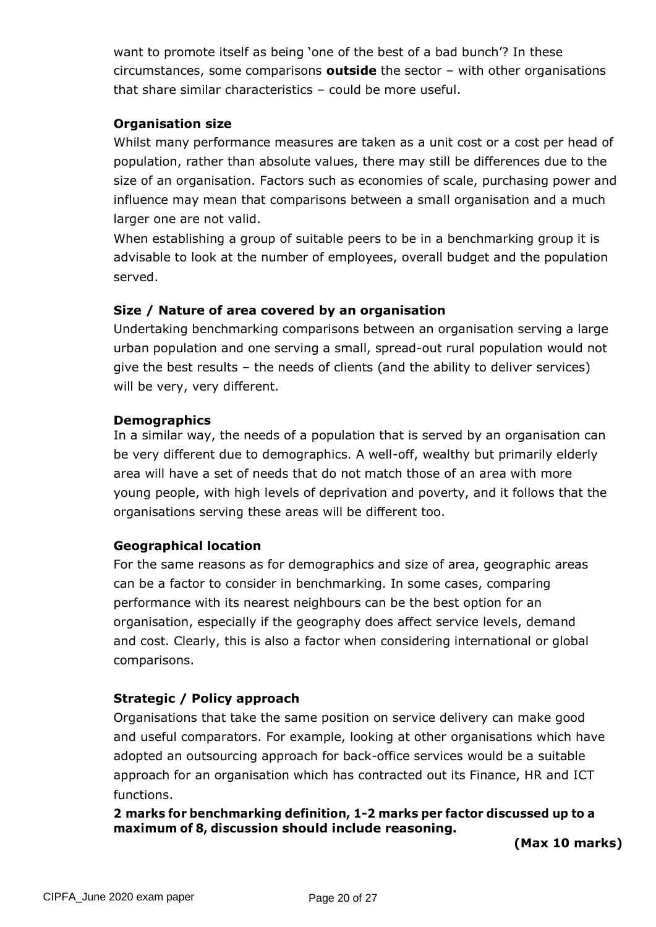want to promote itself as being 'one of the best of a bad bunch'? In these circumstances, some comparisons **outside** the sector – with other organisations that share similar characteristics – could be more useful.

# **Organisation size**

Whilst many performance measures are taken as a unit cost or a cost per head of population, rather than absolute values, there may still be differences due to the size of an organisation. Factors such as economies of scale, purchasing power and influence may mean that comparisons between a small organisation and a much larger one are not valid.

When establishing a group of suitable peers to be in a benchmarking group it is advisable to look at the number of employees, overall budget and the population served.

#### **Size / Nature of area covered by an organisation**

Undertaking benchmarking comparisons between an organisation serving a large urban population and one serving a small, spread-out rural population would not give the best results – the needs of clients (and the ability to deliver services) will be very, very different.

#### **Demographics**

In a similar way, the needs of a population that is served by an organisation can be very different due to demographics. A well-off, wealthy but primarily elderly area will have a set of needs that do not match those of an area with more young people, with high levels of deprivation and poverty, and it follows that the organisations serving these areas will be different too.

#### **Geographical location**

For the same reasons as for demographics and size of area, geographic areas can be a factor to consider in benchmarking. In some cases, comparing performance with its nearest neighbours can be the best option for an organisation, especially if the geography does affect service levels, demand and cost. Clearly, this is also a factor when considering international or global comparisons.

#### **Strategic / Policy approach**

Organisations that take the same position on service delivery can make good and useful comparators. For example, looking at other organisations which have adopted an outsourcing approach for back-office services would be a suitable approach for an organisation which has contracted out its Finance, HR and ICT functions.

# **2 marks for benchmarking definition, 1-2 marks per factor discussed up to a maximum of 8, discussion should include reasoning.**

**(Max 10 marks)**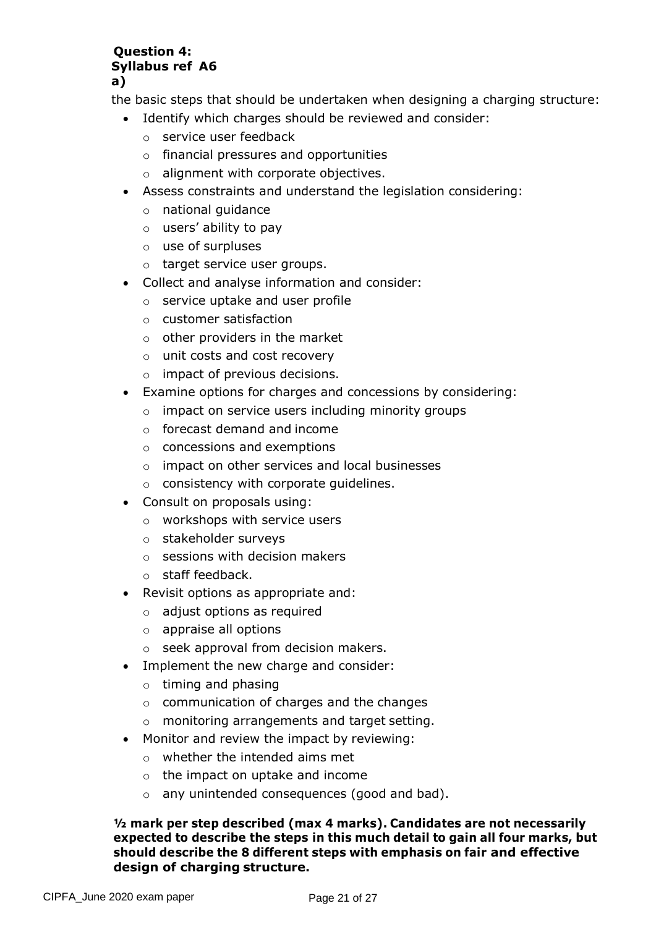#### **Question 4: Syllabus ref A6 a)**

the basic steps that should be undertaken when designing a charging structure:

- Identify which charges should be reviewed and consider:
	- o service user feedback
	- o financial pressures and opportunities
	- o alignment with corporate objectives.
- Assess constraints and understand the legislation considering:
	- o national guidance
	- o users' ability to pay
	- o use of surpluses
	- o target service user groups.
- Collect and analyse information and consider:
	- o service uptake and user profile
	- o customer satisfaction
	- $\circ$  other providers in the market
	- o unit costs and cost recovery
	- o impact of previous decisions.
- Examine options for charges and concessions by considering:
	- o impact on service users including minority groups
	- o forecast demand and income
	- o concessions and exemptions
	- o impact on other services and local businesses
	- o consistency with corporate guidelines.
- Consult on proposals using:
	- o workshops with service users
	- o stakeholder surveys
	- $\circ$  sessions with decision makers
	- o staff feedback.
- Revisit options as appropriate and:
	- o adjust options as required
	- o appraise all options
	- o seek approval from decision makers.
- Implement the new charge and consider:
	- o timing and phasing
	- o communication of charges and the changes
	- o monitoring arrangements and target setting.
- Monitor and review the impact by reviewing:
	- o whether the intended aims met
	- $\circ$  the impact on uptake and income
	- o any unintended consequences (good and bad).

#### **½ mark per step described (max 4 marks). Candidates are not necessarily expected to describe the steps in this much detail to gain all four marks, but should describe the 8 different steps with emphasis on fair and effective design of charging structure.**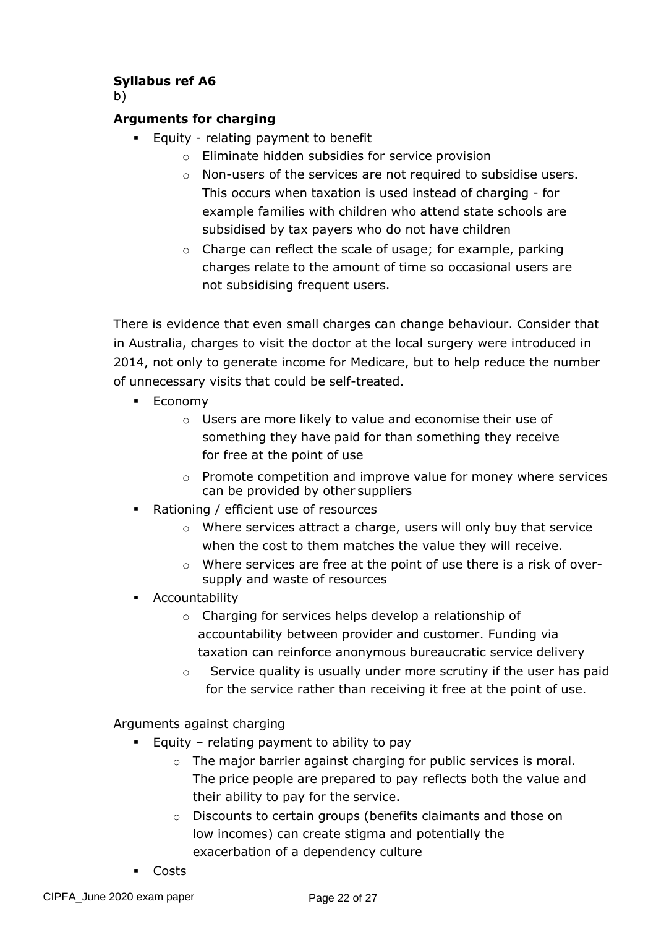# **Syllabus ref A6**

b)

# **Arguments for charging**

- Equity relating payment to benefit
	- o Eliminate hidden subsidies for service provision
	- o Non-users of the services are not required to subsidise users. This occurs when taxation is used instead of charging - for example families with children who attend state schools are subsidised by tax payers who do not have children
	- o Charge can reflect the scale of usage; for example, parking charges relate to the amount of time so occasional users are not subsidising frequent users.

There is evidence that even small charges can change behaviour. Consider that in Australia, charges to visit the doctor at the local surgery were introduced in 2014, not only to generate income for Medicare, but to help reduce the number of unnecessary visits that could be self-treated.

- Economy
	- o Users are more likely to value and economise their use of something they have paid for than something they receive for free at the point of use
	- o Promote competition and improve value for money where services can be provided by other suppliers
- Rationing / efficient use of resources
	- o Where services attract a charge, users will only buy that service when the cost to them matches the value they will receive.
	- $\circ$  Where services are free at the point of use there is a risk of oversupply and waste of resources
- **•** Accountability
	- o Charging for services helps develop a relationship of accountability between provider and customer. Funding via taxation can reinforce anonymous bureaucratic service delivery
	- $\circ$  Service quality is usually under more scrutiny if the user has paid for the service rather than receiving it free at the point of use.

Arguments against charging

- $\blacksquare$  Equity relating payment to ability to pay
	- o The major barrier against charging for public services is moral. The price people are prepared to pay reflects both the value and their ability to pay for the service.
	- o Discounts to certain groups (benefits claimants and those on low incomes) can create stigma and potentially the exacerbation of a dependency culture
- Costs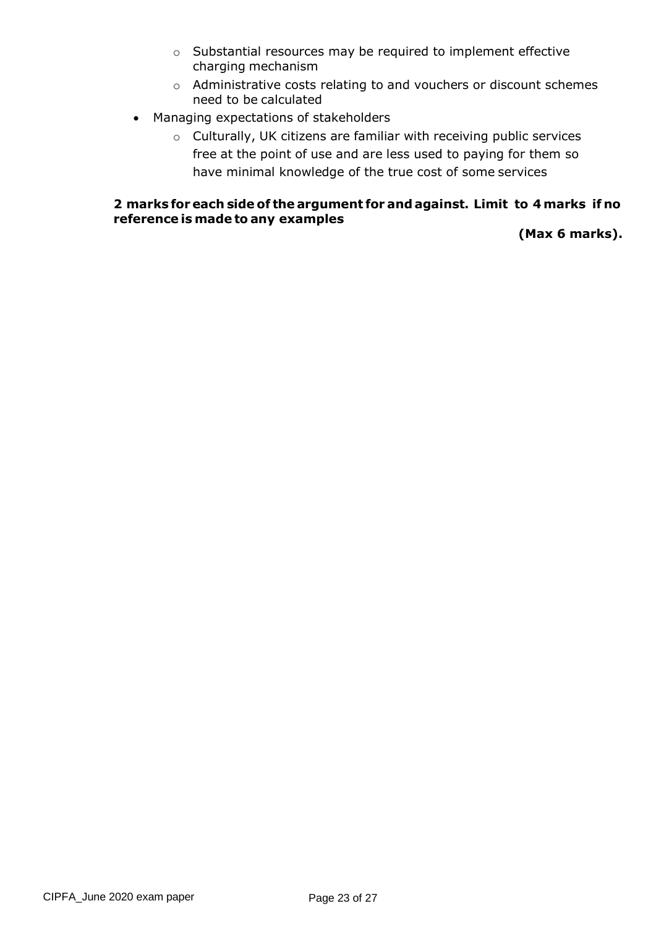- o Substantial resources may be required to implement effective charging mechanism
- o Administrative costs relating to and vouchers or discount schemes need to be calculated
- Managing expectations of stakeholders
	- o Culturally, UK citizens are familiar with receiving public services free at the point of use and are less used to paying for them so have minimal knowledge of the true cost of some services

#### **2 marks for each side of the argument for andagainst. Limit to 4 marks if no reference is made to any examples**

**(Max 6 marks).**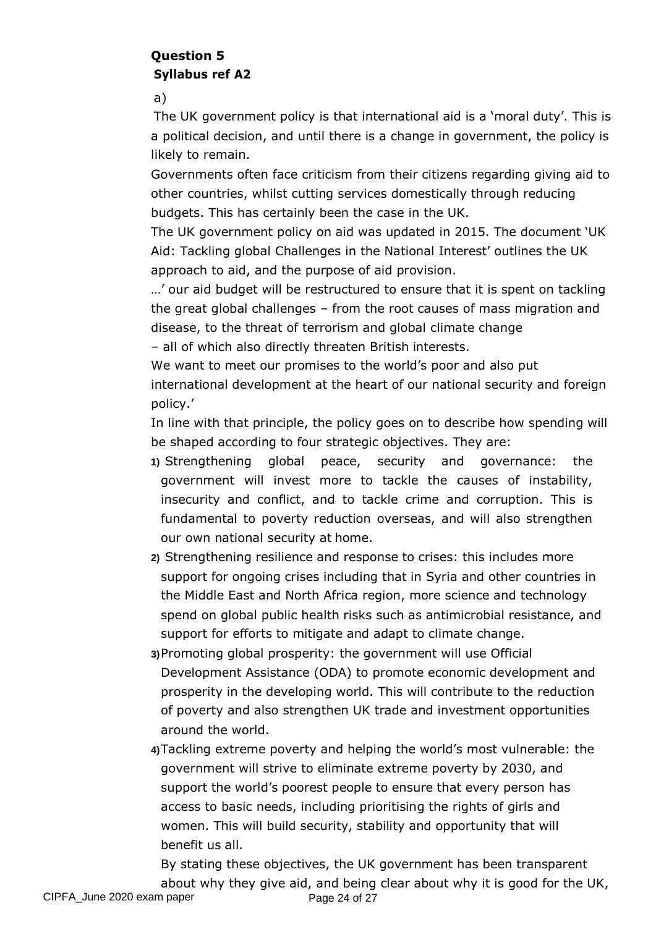# **Question 5 Syllabus ref A2**

a)

The UK government policy is that international aid is a 'moral duty'. This is a political decision, and until there is a change in government, the policy is likely to remain.

Governments often face criticism from their citizens regarding giving aid to other countries, whilst cutting services domestically through reducing budgets. This has certainly been the case in the UK.

The UK government policy on aid was updated in 2015. The document 'UK Aid: Tackling global Challenges in the National Interest' outlines the UK approach to aid, and the purpose of aid provision.

…' our aid budget will be restructured to ensure that it is spent on tackling the great global challenges – from the root causes of mass migration and disease, to the threat of terrorism and global climate change – all of which also directly threaten British interests.

We want to meet our promises to the world's poor and also put international development at the heart of our national security and foreign policy.'

In line with that principle, the policy goes on to describe how spending will be shaped according to four strategic objectives. They are:

- **1)** Strengthening global peace, security and governance: the government will invest more to tackle the causes of instability, insecurity and conflict, and to tackle crime and corruption. This is fundamental to poverty reduction overseas, and will also strengthen our own national security at home.
- **2)** Strengthening resilience and response to crises: this includes more support for ongoing crises including that in Syria and other countries in the Middle East and North Africa region, more science and technology spend on global public health risks such as antimicrobial resistance, and support for efforts to mitigate and adapt to climate change.

**3)**Promoting global prosperity: the government will use Official Development Assistance (ODA) to promote economic development and prosperity in the developing world. This will contribute to the reduction of poverty and also strengthen UK trade and investment opportunities around the world.

**4)**Tackling extreme poverty and helping the world's most vulnerable: the government will strive to eliminate extreme poverty by 2030, and support the world's poorest people to ensure that every person has access to basic needs, including prioritising the rights of girls and women. This will build security, stability and opportunity that will benefit us all.

By stating these objectives, the UK government has been transparent about why they give aid, and being clear about why it is good for the UK,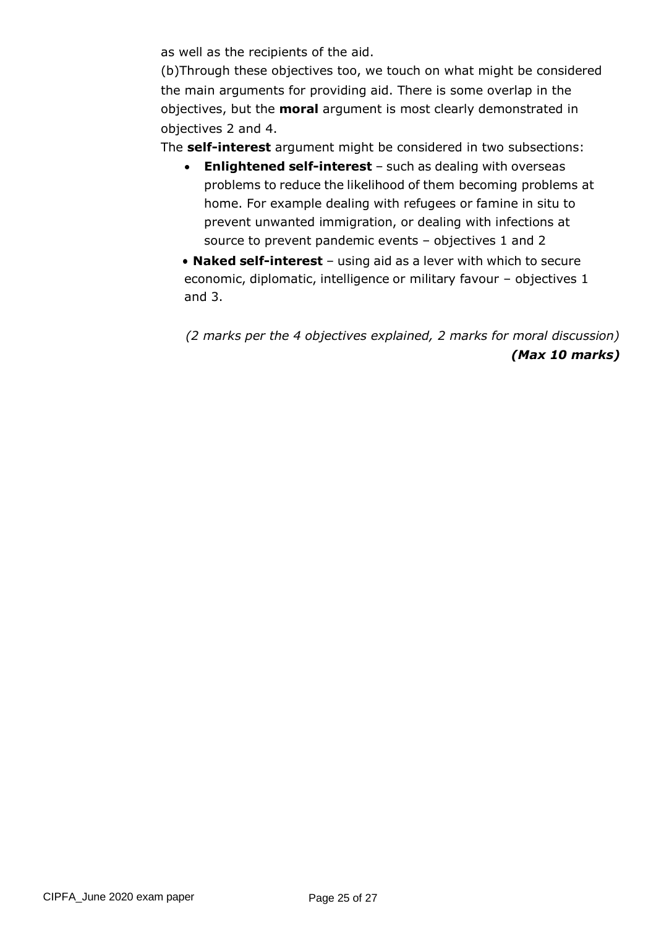as well as the recipients of the aid.

(b)Through these objectives too, we touch on what might be considered the main arguments for providing aid. There is some overlap in the objectives, but the **moral** argument is most clearly demonstrated in objectives 2 and 4.

The **self-interest** argument might be considered in two subsections:

- **Enlightened self-interest** such as dealing with overseas problems to reduce the likelihood of them becoming problems at home. For example dealing with refugees or famine in situ to prevent unwanted immigration, or dealing with infections at source to prevent pandemic events – objectives 1 and 2
- **Naked self-interest** using aid as a lever with which to secure economic, diplomatic, intelligence or military favour – objectives 1 and 3.

*(2 marks per the 4 objectives explained, 2 marks for moral discussion) (Max 10 marks)*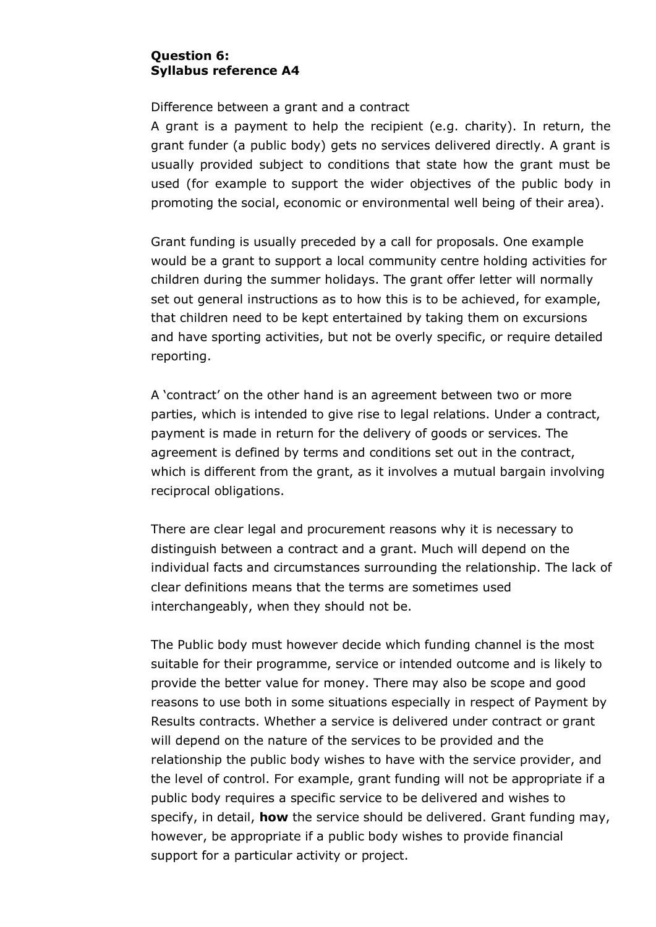#### **Question 6: Syllabus reference A4**

Difference between a grant and a contract

A grant is a payment to help the recipient (e.g. charity). In return, the grant funder (a public body) gets no services delivered directly. A grant is usually provided subject to conditions that state how the grant must be used (for example to support the wider objectives of the public body in promoting the social, economic or environmental well being of their area).

Grant funding is usually preceded by a call for proposals. One example would be a grant to support a local community centre holding activities for children during the summer holidays. The grant offer letter will normally set out general instructions as to how this is to be achieved, for example, that children need to be kept entertained by taking them on excursions and have sporting activities, but not be overly specific, or require detailed reporting.

A 'contract' on the other hand is an agreement between two or more parties, which is intended to give rise to legal relations. Under a contract, payment is made in return for the delivery of goods or services. The agreement is defined by terms and conditions set out in the contract, which is different from the grant, as it involves a mutual bargain involving reciprocal obligations.

There are clear legal and procurement reasons why it is necessary to distinguish between a contract and a grant. Much will depend on the individual facts and circumstances surrounding the relationship. The lack of clear definitions means that the terms are sometimes used interchangeably, when they should not be.

The Public body must however decide which funding channel is the most suitable for their programme, service or intended outcome and is likely to provide the better value for money. There may also be scope and good reasons to use both in some situations especially in respect of Payment by Results contracts. Whether a service is delivered under contract or grant will depend on the nature of the services to be provided and the relationship the public body wishes to have with the service provider, and the level of control. For example, grant funding will not be appropriate if a public body requires a specific service to be delivered and wishes to specify, in detail, **how** the service should be delivered. Grant funding may, however, be appropriate if a public body wishes to provide financial support for a particular activity or project.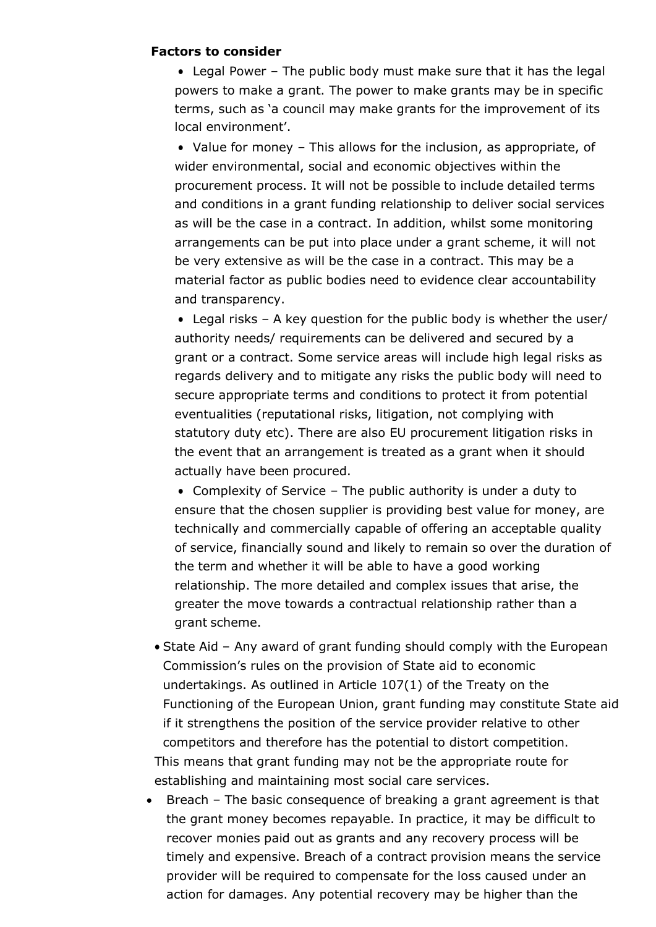#### **Factors to consider**

• Legal Power – The public body must make sure that it has the legal powers to make a grant. The power to make grants may be in specific terms, such as 'a council may make grants for the improvement of its local environment'.

• Value for money – This allows for the inclusion, as appropriate, of wider environmental, social and economic objectives within the procurement process. It will not be possible to include detailed terms and conditions in a grant funding relationship to deliver social services as will be the case in a contract. In addition, whilst some monitoring arrangements can be put into place under a grant scheme, it will not be very extensive as will be the case in a contract. This may be a material factor as public bodies need to evidence clear accountability and transparency.

• Legal risks – A key question for the public body is whether the user/ authority needs/ requirements can be delivered and secured by a grant or a contract. Some service areas will include high legal risks as regards delivery and to mitigate any risks the public body will need to secure appropriate terms and conditions to protect it from potential eventualities (reputational risks, litigation, not complying with statutory duty etc). There are also EU procurement litigation risks in the event that an arrangement is treated as a grant when it should actually have been procured.

• Complexity of Service – The public authority is under a duty to ensure that the chosen supplier is providing best value for money, are technically and commercially capable of offering an acceptable quality of service, financially sound and likely to remain so over the duration of the term and whether it will be able to have a good working relationship. The more detailed and complex issues that arise, the greater the move towards a contractual relationship rather than a grant scheme.

- State Aid Any award of grant funding should comply with the European Commission's rules on the provision of State aid to economic undertakings. As outlined in Article 107(1) of the Treaty on the Functioning of the European Union, grant funding may constitute State aid if it strengthens the position of the service provider relative to other competitors and therefore has the potential to distort competition. This means that grant funding may not be the appropriate route for establishing and maintaining most social care services.
- Breach The basic consequence of breaking a grant agreement is that the grant money becomes repayable. In practice, it may be difficult to recover monies paid out as grants and any recovery process will be timely and expensive. Breach of a contract provision means the service provider will be required to compensate for the loss caused under an action for damages. Any potential recovery may be higher than the